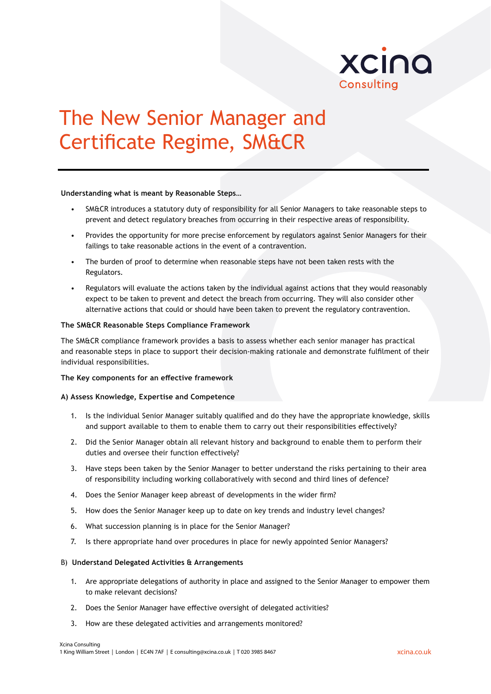

# The New Senior Manager and Certificate Regime, SM&CR

## **Understanding what is meant by Reasonable Steps…**

- SM&CR introduces a statutory duty of responsibility for all Senior Managers to take reasonable steps to prevent and detect regulatory breaches from occurring in their respective areas of responsibility.
- Provides the opportunity for more precise enforcement by regulators against Senior Managers for their failings to take reasonable actions in the event of a contravention.
- The burden of proof to determine when reasonable steps have not been taken rests with the Regulators.
- Regulators will evaluate the actions taken by the individual against actions that they would reasonably expect to be taken to prevent and detect the breach from occurring. They will also consider other alternative actions that could or should have been taken to prevent the regulatory contravention.

## **The SM&CR Reasonable Steps Compliance Framework**

The SM&CR compliance framework provides a basis to assess whether each senior manager has practical and reasonable steps in place to support their decision-making rationale and demonstrate fulfilment of their individual responsibilities.

### **The Key components for an effective framework**

# **A) Assess Knowledge, Expertise and Competence**

- 1. Is the individual Senior Manager suitably qualified and do they have the appropriate knowledge, skills and support available to them to enable them to carry out their responsibilities effectively?
- 2. Did the Senior Manager obtain all relevant history and background to enable them to perform their duties and oversee their function effectively?
- 3. Have steps been taken by the Senior Manager to better understand the risks pertaining to their area of responsibility including working collaboratively with second and third lines of defence?
- 4. Does the Senior Manager keep abreast of developments in the wider firm?
- 5. How does the Senior Manager keep up to date on key trends and industry level changes?
- 6. What succession planning is in place for the Senior Manager?
- 7. Is there appropriate hand over procedures in place for newly appointed Senior Managers?

## B) **Understand Delegated Activities & Arrangements**

- 1. Are appropriate delegations of authority in place and assigned to the Senior Manager to empower them to make relevant decisions?
- 2. Does the Senior Manager have effective oversight of delegated activities?
- 3. How are these delegated activities and arrangements monitored?